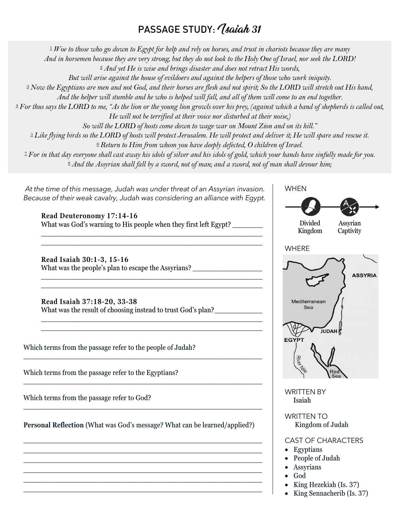## PASSAGE STUDY: *Isaiah 31*

[1](http://biblehub.com/isaiah/31-1.htm)*Woe to those who go down to Egypt for help and rely on horses, and trust in chariots because they are many*

*And in horsemen because they are very strong, but they do not look to the Holy One of Israel, nor seek the LORD!*

[2](http://biblehub.com/isaiah/31-2.htm)*And yet He is wise and brings disaster and does not retract His words,*

*But will arise against the house of evildoers and against the helpers of those who work iniquity.*

[3](http://biblehub.com/isaiah/31-3.htm)*Now the Egyptians are men and not God, and their horses are flesh and not spirit; So the LORD will stretch out His hand,*

*And the helper will stumble and he who is helped will fall, and all of them will come to an end together.*

[4](http://biblehub.com/isaiah/31-4.htm)*For thus says the LORD to me, "As the lion or the young lion growls over his prey, (against which a band of shepherds is called out, He will not be terrified at their voice nor disturbed at their noise,)*

*So will the LORD of hosts come down to wage war on Mount Zion and on its hill."*

[5](http://biblehub.com/isaiah/31-5.htm)*Like flying birds so the LORD of hosts will protect Jerusalem. He will protect and deliver it; He will spare and rescue it.*

[6](http://biblehub.com/isaiah/31-6.htm)*Return to Him from whom you have deeply defected, O children of Israel.*

[7](http://biblehub.com/isaiah/31-6.htm)*For in that day everyone shall cast away his idols of silver and his idols of gold, which your hands have sinfully made for you.* [8](http://biblehub.com/isaiah/31-6.htm)*And the Assyrian shall fall by a sword, not of man; and a sword, not of man shall devour him;*

*At the time of this message, Judah was under threat of an Assyrian invasion. Because of their weak cavalry, Judah was considering an alliance with Egypt.*

**Read Deuteronomy 17:14-16** What was God's warning to His people when they first left Egypt? \_\_\_\_\_\_\_\_\_

\_\_\_\_\_\_\_\_\_\_\_\_\_\_\_\_\_\_\_\_\_\_\_\_\_\_\_\_\_\_\_\_\_\_\_\_\_\_\_\_\_\_\_\_\_\_\_\_\_\_\_ \_\_\_\_\_\_\_\_\_\_\_\_\_\_\_\_\_\_\_\_\_\_\_\_\_\_\_\_\_\_\_\_\_\_\_\_\_\_\_\_\_\_\_\_\_\_\_\_\_\_\_

\_\_\_\_\_\_\_\_\_\_\_\_\_\_\_\_\_\_\_\_\_\_\_\_\_\_\_\_\_\_\_\_\_\_\_\_\_\_\_\_\_\_\_\_\_\_\_\_\_\_\_ \_\_\_\_\_\_\_\_\_\_\_\_\_\_\_\_\_\_\_\_\_\_\_\_\_\_\_\_\_\_\_\_\_\_\_\_\_\_\_\_\_\_\_\_\_\_\_\_\_\_\_

\_\_\_\_\_\_\_\_\_\_\_\_\_\_\_\_\_\_\_\_\_\_\_\_\_\_\_\_\_\_\_\_\_\_\_\_\_\_\_\_\_\_\_\_\_\_\_\_\_\_\_ \_\_\_\_\_\_\_\_\_\_\_\_\_\_\_\_\_\_\_\_\_\_\_\_\_\_\_\_\_\_\_\_\_\_\_\_\_\_\_\_\_\_\_\_\_\_\_\_\_\_\_

\_\_\_\_\_\_\_\_\_\_\_\_\_\_\_\_\_\_\_\_\_\_\_\_\_\_\_\_\_\_\_\_\_\_\_\_\_\_\_\_\_\_\_\_\_\_\_\_\_\_\_\_\_\_\_

\_\_\_\_\_\_\_\_\_\_\_\_\_\_\_\_\_\_\_\_\_\_\_\_\_\_\_\_\_\_\_\_\_\_\_\_\_\_\_\_\_\_\_\_\_\_\_\_\_\_\_\_\_\_\_

\_\_\_\_\_\_\_\_\_\_\_\_\_\_\_\_\_\_\_\_\_\_\_\_\_\_\_\_\_\_\_\_\_\_\_\_\_\_\_\_\_\_\_\_\_\_\_\_\_\_\_\_\_\_\_

\_\_\_\_\_\_\_\_\_\_\_\_\_\_\_\_\_\_\_\_\_\_\_\_\_\_\_\_\_\_\_\_\_\_\_\_\_\_\_\_\_\_\_\_\_\_\_\_\_\_\_\_\_\_\_ \_\_\_\_\_\_\_\_\_\_\_\_\_\_\_\_\_\_\_\_\_\_\_\_\_\_\_\_\_\_\_\_\_\_\_\_\_\_\_\_\_\_\_\_\_\_\_\_\_\_\_\_\_\_\_ \_\_\_\_\_\_\_\_\_\_\_\_\_\_\_\_\_\_\_\_\_\_\_\_\_\_\_\_\_\_\_\_\_\_\_\_\_\_\_\_\_\_\_\_\_\_\_\_\_\_\_\_\_\_\_ \_\_\_\_\_\_\_\_\_\_\_\_\_\_\_\_\_\_\_\_\_\_\_\_\_\_\_\_\_\_\_\_\_\_\_\_\_\_\_\_\_\_\_\_\_\_\_\_\_\_\_\_\_\_\_ \_\_\_\_\_\_\_\_\_\_\_\_\_\_\_\_\_\_\_\_\_\_\_\_\_\_\_\_\_\_\_\_\_\_\_\_\_\_\_\_\_\_\_\_\_\_\_\_\_\_\_\_\_\_\_ \_\_\_\_\_\_\_\_\_\_\_\_\_\_\_\_\_\_\_\_\_\_\_\_\_\_\_\_\_\_\_\_\_\_\_\_\_\_\_\_\_\_\_\_\_\_\_\_\_\_\_\_\_\_\_

**Read Isaiah 30:1-3, 15-16**  What was the people's plan to escape the Assyrians? \_\_\_\_\_\_\_\_\_\_\_\_\_\_\_\_\_\_\_\_\_\_\_\_\_\_\_\_

**Read Isaiah 37:18-20, 33-38** What was the result of choosing instead to trust God's plan?

Which terms from the passage refer to the people of Judah?

Which terms from the passage refer to the Egyptians?

Which terms from the passage refer to God?

**Personal Reflection** (What was God's message? What can be learned/applied?)



- People of Judah
- Assyrians
- God
- King Hezekiah (Is. 37)
- King Sennacherib (Is. 37)